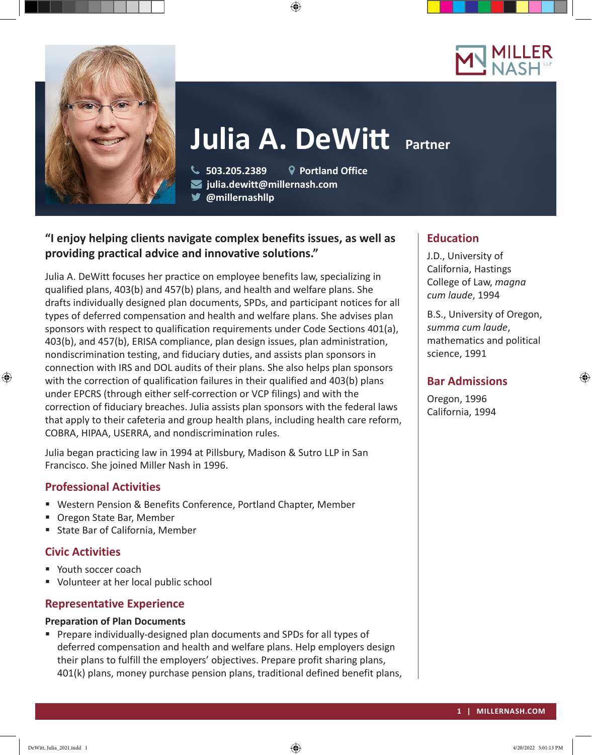



# **Julia A. DeWitt Partner**

 $\textcircled{\scriptsize{+}}$ 

 **503.205.2389 Portland Office julia.dewitt@millernash.com** 

**@millernashllp** 

# **"I enjoy helping clients navigate complex benefits issues, as well as providing practical advice and innovative solutions."**

Julia A. DeWitt focuses her practice on employee benefits law, specializing in qualified plans, 403(b) and 457(b) plans, and health and welfare plans. She drafts individually designed plan documents, SPDs, and participant notices for all types of deferred compensation and health and welfare plans. She advises plan sponsors with respect to qualification requirements under Code Sections 401(a), 403(b), and 457(b), ERISA compliance, plan design issues, plan administration, nondiscrimination testing, and fiduciary duties, and assists plan sponsors in connection with IRS and DOL audits of their plans. She also helps plan sponsors with the correction of qualification failures in their qualified and 403(b) plans under EPCRS (through either self-correction or VCP filings) and with the correction of fiduciary breaches. Julia assists plan sponsors with the federal laws that apply to their cafeteria and group health plans, including health care reform, COBRA, HIPAA, USERRA, and nondiscrimination rules.

Julia began practicing law in 1994 at Pillsbury, Madison & Sutro LLP in San Francisco. She joined Miller Nash in 1996.

# **Professional Activities**

- Western Pension & Benefits Conference, Portland Chapter, Member
- Oregon State Bar, Member
- State Bar of California, Member

# **Civic Activities**

⊕

- Youth soccer coach
- Volunteer at her local public school

# **Representative Experience**

## **Preparation of Plan Documents**

**Prepare individually-designed plan documents and SPDs for all types of** deferred compensation and health and welfare plans. Help employers design their plans to fulfill the employers' objectives. Prepare profit sharing plans, 401(k) plans, money purchase pension plans, traditional defined benefit plans,

## **Education**

J.D., University of California, Hastings College of Law, *magna cum laude*, 1994

B.S., University of Oregon, *summa cum laude*, mathematics and political science, 1991

⊕

# **Bar Admissions**

Oregon, 1996 California, 1994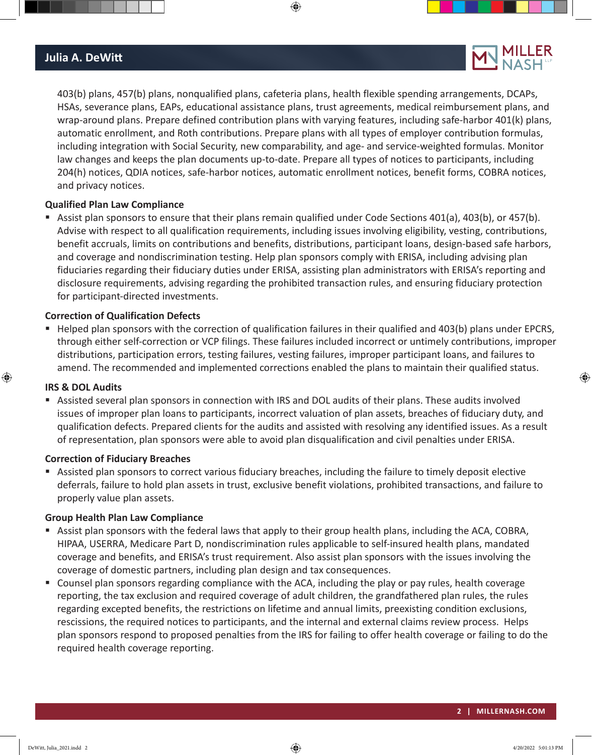## **Julia A. DeWitt**

403(b) plans, 457(b) plans, nonqualified plans, cafeteria plans, health flexible spending arrangements, DCAPs, HSAs, severance plans, EAPs, educational assistance plans, trust agreements, medical reimbursement plans, and wrap-around plans. Prepare defined contribution plans with varying features, including safe-harbor 401(k) plans, automatic enrollment, and Roth contributions. Prepare plans with all types of employer contribution formulas, including integration with Social Security, new comparability, and age- and service-weighted formulas. Monitor law changes and keeps the plan documents up-to-date. Prepare all types of notices to participants, including 204(h) notices, QDIA notices, safe-harbor notices, automatic enrollment notices, benefit forms, COBRA notices, and privacy notices.

 $\textcolor{black}{\textcircled{\footnotesize{1}}}$ 

#### **Qualified Plan Law Compliance**

 Assist plan sponsors to ensure that their plans remain qualified under Code Sections 401(a), 403(b), or 457(b). Advise with respect to all qualification requirements, including issues involving eligibility, vesting, contributions, benefit accruals, limits on contributions and benefits, distributions, participant loans, design-based safe harbors, and coverage and nondiscrimination testing. Help plan sponsors comply with ERISA, including advising plan fiduciaries regarding their fiduciary duties under ERISA, assisting plan administrators with ERISA's reporting and disclosure requirements, advising regarding the prohibited transaction rules, and ensuring fiduciary protection for participant-directed investments.

#### **Correction of Qualification Defects**

 Helped plan sponsors with the correction of qualification failures in their qualified and 403(b) plans under EPCRS, through either self-correction or VCP filings. These failures included incorrect or untimely contributions, improper distributions, participation errors, testing failures, vesting failures, improper participant loans, and failures to amend. The recommended and implemented corrections enabled the plans to maintain their qualified status.

#### **IRS & DOL Audits**

 $\textcircled{\scriptsize{+}}$ 

 Assisted several plan sponsors in connection with IRS and DOL audits of their plans. These audits involved issues of improper plan loans to participants, incorrect valuation of plan assets, breaches of fiduciary duty, and qualification defects. Prepared clients for the audits and assisted with resolving any identified issues. As a result of representation, plan sponsors were able to avoid plan disqualification and civil penalties under ERISA.

#### **Correction of Fiduciary Breaches**

 Assisted plan sponsors to correct various fiduciary breaches, including the failure to timely deposit elective deferrals, failure to hold plan assets in trust, exclusive benefit violations, prohibited transactions, and failure to properly value plan assets.

#### **Group Health Plan Law Compliance**

- Assist plan sponsors with the federal laws that apply to their group health plans, including the ACA, COBRA, HIPAA, USERRA, Medicare Part D, nondiscrimination rules applicable to self-insured health plans, mandated coverage and benefits, and ERISA's trust requirement. Also assist plan sponsors with the issues involving the coverage of domestic partners, including plan design and tax consequences.
- Counsel plan sponsors regarding compliance with the ACA, including the play or pay rules, health coverage reporting, the tax exclusion and required coverage of adult children, the grandfathered plan rules, the rules regarding excepted benefits, the restrictions on lifetime and annual limits, preexisting condition exclusions, rescissions, the required notices to participants, and the internal and external claims review process. Helps plan sponsors respond to proposed penalties from the IRS for failing to offer health coverage or failing to do the required health coverage reporting.

⊕